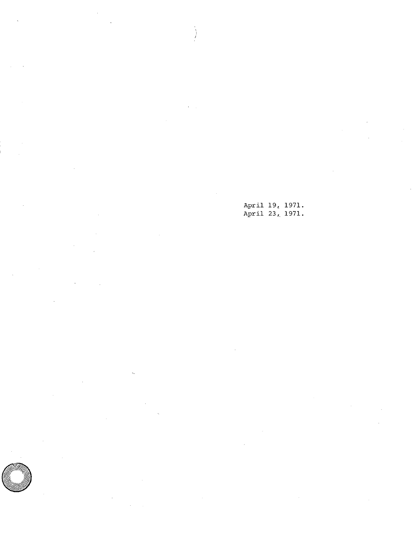April 19, 1971. April 23, 1971.

 $\sum_{i=1}^{n}$ 

 $\circledcirc$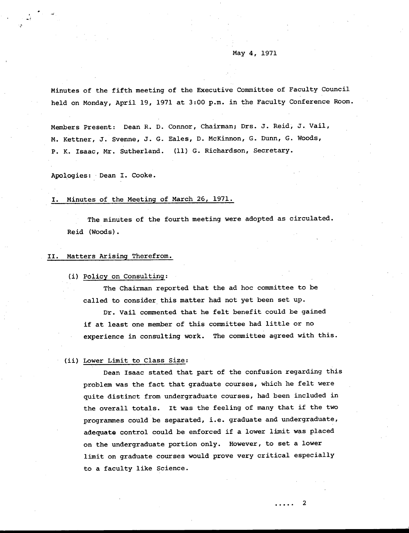# May 4, 1971

Minutes of the fifth meeting of the Executive Committee of Faculty Council held on Monday, April 19, 1971 at 3:00 p.m. in the Faculty Conference Room.

Members Present: Dean R. D. Connor, Chairman; Drs. J. Reid, 3. Vail, M. Kettner, J. Svenne, J. G. Eales, D. McKinnon, G. Dunn, G. Woods, P. K. Isaac, Mr. Sutherland. (11) G. Richardson, Secretary.

Apologies: Dean I. Cooke.

# I. Minutes of the Meeting of March 26, 1971.

The minutes of the fourth meeting were adopted as circulated. Reid (Woods).

### II. Matters Arising Therefrom.

(i) Policy on Consulting:

The Chairman reported that the ad hoc committee to be called to consider this matter had not yet been set up.

Dr. Vail commented that he felt benefit could be gained if at least one member of this committee had little or no experience in consulting work. The committee agreed with this.

### (ii) Lower Limit to Class Size:

Dean Isaac stated that part of the confusion regarding this problem was the fact that graduate courses, which he felt were quite distinct from undergraduate courses, had been included in the overall totals. It was the feeling of many that if the two programmes could be separated, i.e. graduate and undergraduate, adequate control could be enforced if a lower limit was placed on the undergraduate portion only. However, to set a lower limit on graduate courses would prove very critical especially to a faculty like Science.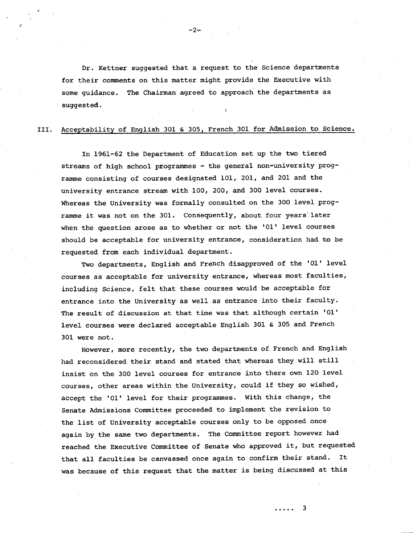Dr. Kettner suggested that a request to the Science departments for their comments on this matter might provide the Executive with some guidance. The Chairman agreed to approach the departments as suggested.

# III. Acceptability of English 301 & 305, French 301 for Admission to Science.

In 1961-62 the Department of Education set up the two tiered streams of high school programmes - the general non-university programme consisting of courses designated 101, 201, and 201 and the university entrance stream with 100, 200, and 300 level courses. Whereas the University was formally consulted on the 300 level programme it was not on the 301. Consequently, about four years later when the question arose as to whether or not the '01' level courses should be acceptable for university entrance, consideration had to be requested from each individual department.

Two departments, English and French disapproved of the '01' level courses as acceptable for university entrance, whereas most faculties, including Science, felt that these courses would be acceptable for entrance into the University as well as entrance into their faculty. The result of discussion at that time was that although certain '01' level courses were declared acceptable English 301 & 305 and French 301 were not.

However, more recently, the two departments of French and English had reconsidered their stand and stated that whereas they will still insist on the 300 level courses for entrance into there own 120 level courses, other areas within the University, could if they so wished, accept the '01' level for their programmes. With this change, the Senate Admissions Committee proceeded to implement the revision to the list of University acceptable courses only to be opposed once again by the same two departments. The Committee report however had reached the Executive Committee of Senate who approved it, but requested that all faculties be canvassed once again to confirm their stand. It was because of this request that the matter is being discussed at this

3

. . . . .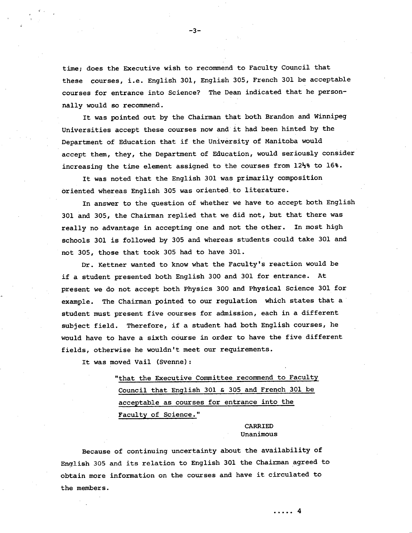time; does the Executive wish to recommend to Faculty Council that these courses, i.e. English 301, English 305, French 301 be acceptable courses for entrance into Science? The Dean indicated that he personnally would so recommend.

It was pointed out by the Chairman that both Brandon and Winnipeg Universities accept these courses now and it had been hinted by the Department of Education that if the University of Manitoba would accept them, they, the Department of Education, would seriously consider increasing the time element assigned to the courses from 12½% to 16%.

It was noted that the English 301 was primarily composition oriented whereas English 305 was oriented to literature.

In answer to the question of whether we have to accept both English 301 and 305, the Chairman replied that we did not, but that there was really no advantage in accepting one and not the other. In most high schools 301 is followed by 305 and whereas students could take 301 and not 305, those that took 305 had to have 301.

Dr. Kettner wanted to know what the Faculty's reaction would be if a student presented both English 300 and 301 for entrance. At present we do not accept both Physics 300 and Physical Science 301 for example. The Chairman pointed to our regulation which states that a student must present five courses for admission, each in a different subject field. Therefore, if a student had both English courses, he would have to have a sixth course in order to have the five different fields, otherwise he wouldn't meet our requirements.

It was moved Vail (Svenne):

"that the Executive Committee recommend to Faculty Council that English 301 & 305 and French 301 be acceptable as courses for entrance into the Faculty of Science."

> CARRIED Unanimous

Because of continuing uncertainty about the availability of English 305 and its relation to English 301 the Chairman agreed to obtain more information on the courses and have it circulated to the members.

-3-.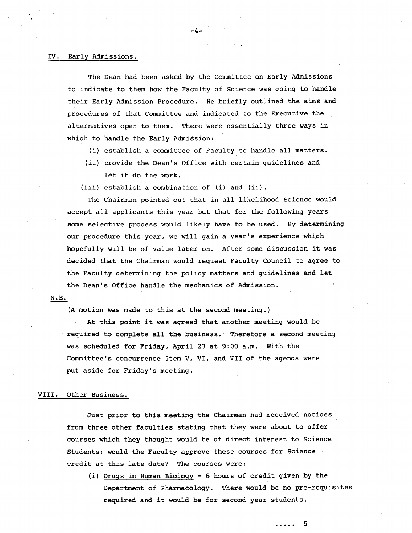#### IV. Early Admissions.

The Dean had been asked by the Committee on Early Admissions to indicate to them how the Faculty of Science was going to handle their Early Admission Procedure. He briefly outlined the aims and procedures of that Committee and indicated to the Executive the alternatives open to them. There were essentially three ways in which to handle the Early Admission:

-4-

- (i) establish a committee of Faculty to handle all matters.
- (ii) provide the Dean's Office with certain quidelines and let it do the work.
- (iii) establish a combination of (i) and (ii).

The Chairman pointed out that in all likelihood Science would accept all applicants this year but that for the following years some selective process would likely have to be used. By determining our procedure this year, we will gain a year's experience which hopefully will be of value later on. After some discussion it was decided that the Chairman would request Faculty Council to agree to the Faculty determining the policy matters and guidelines and let the Dean's Office handle the mechanics of Admission.

### N.B.

(A motion was made to this at the second meeting.)

At this point it was agreed that another meeting would be required to complete all the business. Therefore a second meeting was scheduled for Friday, April 23 at 9:00 a.m. With the Committee's concurrence Item V, VI, and VII of the agenda were put aside for Friday's meeting.

#### VIII. Other Business.

Just prior to this meeting the Chairman had received notices from three other faculties stating that they were about to offer courses which they thought would be of direct interest to Science Students; would the Faculty approve these courses for Science credit at this late date? The courses were:

(i) Drugs in Human Biology - 6 hours of credit given by the Department of Pharmacology. There would be no pre-requisites required and it would be for second year students.

5

. . . . .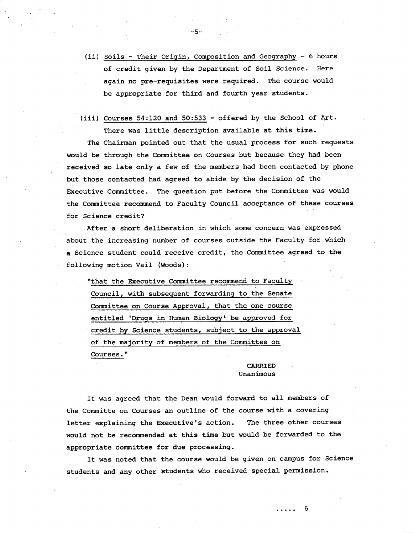(ii) Soils - Their Origin, Composition and Geography - 6 hours of credit given by the Department of Soil Science. Here again no pre-requisites were required. The course would be appropriate for third and fourth year students.

 $-5-$ 

 $(iii)$  Courses 54:120 and 50:533 - offered by the School of Art. There was little description available at this time.

The Chairman pointed out that the usual process for such requests would be through the Committee on Courses but because they had been received so late only a few of the members had been contacted by phone but those contacted had agreed to abide by the decision of the Executive Committee. The question put before the Committee was would the Committee recommend to Faculty Council acceptance of these courses for Science credit?

After a short deliberation in which some concern was expressed about the increasing number of courses outside the Faculty for which a Science student could receive credit, the Committee agreed to the following motion Vail (Woods):

"that the Executive Committee recommend to Faculty Council, with subsequent forwarding to the Senate Committee on Course Approval, that the one course entitled 'Drugs in Human **BiologyL** be approved for credit by Science students, subject to the approval of the majority of members of the Committee on Courses."

## CARRIED Unanimous

It was agreed that the Dean would forward to all members of the Committe on Courses an outline of the course with a covering letter explaining the Executive's action. The three other courses would not be recommended at this time but would be forwarded to the appropriate committee for due processing.

It was noted that the course would be given on campus for Science students and any other students who received special permission.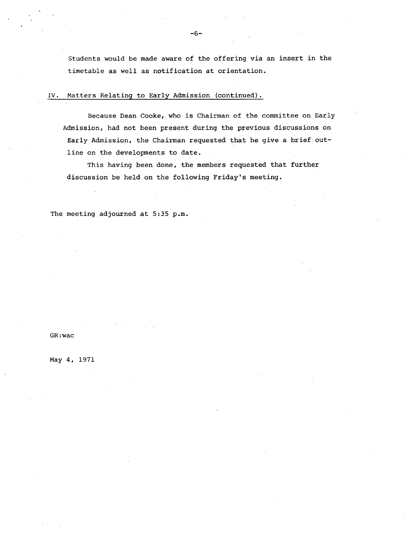Students would be made aware of the offering via an insert in the timetable as well as notification at orientation.

# 1V. Matters Relating to Early Admission (continued).

Because Dean Cooke, who is Chairman of the committee on Early Admission, had not been present during the previous discussions on Early Admission, the Chairman requested that he give a brief outline on the developments to date.

This having been done, the members requested that further discussion be held on the following Friday's meeting.

The meeting adjourned at 5:35 p.m.

# GR:wac

May 4, 1971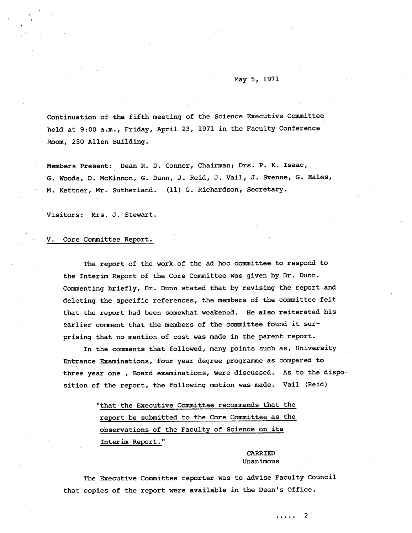# May 5, 1971

Continuation of the fifth meeting of the Science Executive Committee held at 9:00 a.m., Friday, April 23, 1971 in the Faculty Conference Room, 250 Allen Building.

Members Present: Dean R. D. Connor, Chairman; Drs. P. K. Isaac, G. Woods, D. McKinnon, G. Dunn, J. Reid, J. Vail, J. Svenne, G. Eales, M. Kettner, Mr.. Sutherland. (11) G. Richardson, Secretary.

Visitors: Mrs. J. Stewart.

#### V. Core Committee Report.

The report of the work of the ad hoc committee to respond to the Interim Report of the Core Committee was given by Dr. Dunn. Commenting briefly, Dr. Dunn stated that by revising the report and deleting the specific references, the members of the committee felt that the report had been somewhat weakened. He also reiterated his earlier comment that the members of the committee found it surprising that no mention of cost was made in the parent report.

In the comments that followed, many points such as, University Entrance Examinations, four year degree programme as compared to three year one , Board examinations, were discussed. -As to the disposition of the report, the following motion was made. Vail (Reid)

> "that the Executive Committee recommends that the report be submitted to the Core Committee as the observations of the Faculty of Science on its Interim Report."

> > CARRIED Unanimous

The Executive Committee reporter was to advise Faculty Council that copies of the report were available in the Dean's Office.

> 2 . . . . .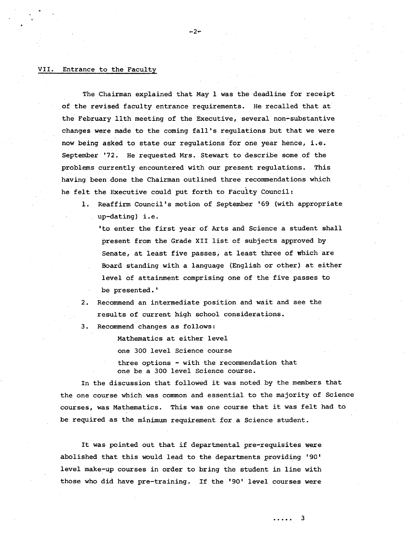### VII. Entrance to the Faculty

The Chairman explained that May 1 was the deadline for receipt of the revised faculty entrance requirements. He recalled that at the February 11th meeting of the Executive, several *non-substantive*  changes were made to the coming fall's regulations but that we were now being asked to state our regulations for one year hence, i.e. September '72. He requested Mrs. Stewart to describe some of the problems currently encountered with our present regulations. This having been done the Chairman outlined three recommendations which he felt the Executive could put forth to Faculty Council:

 $-2-$ 

1. Reaffirm Council's motion of September '69 (with appropriate up-dating) i.e.

'to enter the first year of Arts and Science a student shall present from the Grade XII list of subjects approved by Senate, at least five passes, at least three of which are Board standing with a language (English or other) at either level of attainment comprising one of the five passes to be presented.'

- $2.$ Recommend an intermediate position and wait and see the results of current high school considerations.
- Recommend changes as follows: 3.

Mathematics at either level one 300 level Science course three options - with the recommendation that one be a 300 level Science course.

In the discussion that followed it was noted by the members that the one course which was common and essential to the majority of Science courses, was Mathematics. This was one course that it was felt had to be required as the minimum requirement for a Science student.

It was pointed out that if departmental pre-requisites were abolished that this would lead to the departments providing '90' level make-up courses in order to bring the student in line with those who did have *pre-training.* If the '90' level courses were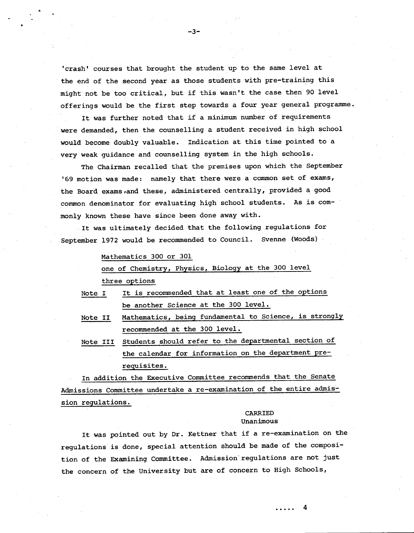'crash' courses that brought the student up to the same level at the end of the second year as those students with pre-training this might not be too critical, but if this wasn't the case then 90 level offerings would be the first step towards a four year general programme.

It was further noted that if a minimum number of requirements were demanded, then the counselling a student received in high school would become doubly valuable. Indication at this time pointed to a very weak guidance and counselling system in the high schools.

The Chairman recalled that the premises upon which the September '69 motion was made: namely that there were a common set of exams, the Board exams ,and these, administered centrally, provided a good common denominator for evaluating high school students. As is commonly known these have since been done away with.

It was ultimately decided that the following regulations for September 1972 would be recommended to Council. Svenne (Woods)

Mathematics 300 or 301

4.

one of Chemistry, Physics, Biology at the 300 level three options

- Note I It is recommended that at least one of the options be another Science at the 300 level.
- Note II Mathematics, being fundamental to Science, is strongly recommended at the 300 level.
- Note III Students should refer to the departmental section of the calendar for information on the department prerequisites.

In addition the Executive Committee recommends that the Senate Admissions Committee undertake a re-examination of the entire admission regulations.

# CARRIED Unanimous

It was pointed out by Dr. Kettner that if a re-examination on the regulations is done, special attention should be made of the composition of the Examining Committee. Admission regulations are not just the concern of the University but are of concern to High Schools,

4  $\cdots$